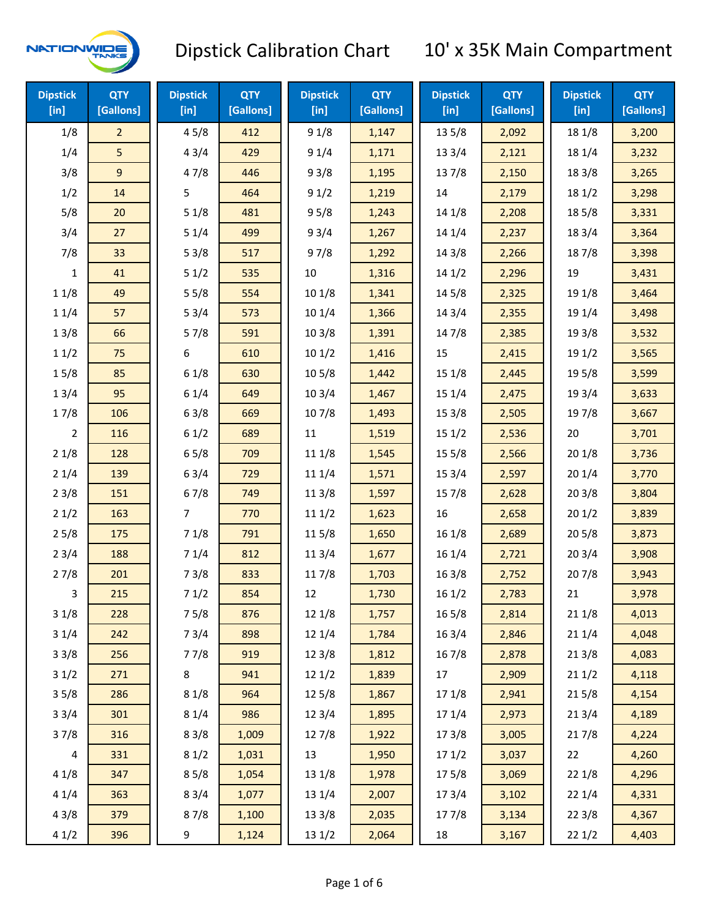

| <b>Dipstick</b><br>[in] | <b>QTY</b><br>[Gallons] | <b>Dipstick</b><br>$[$ in] | <b>QTY</b><br>[Gallons] | <b>Dipstick</b><br>[in] | <b>QTY</b><br>[Gallons] | <b>Dipstick</b><br>$[$ in] | <b>QTY</b><br>[Gallons] | <b>Dipstick</b><br>[in] | <b>QTY</b><br>[Gallons] |
|-------------------------|-------------------------|----------------------------|-------------------------|-------------------------|-------------------------|----------------------------|-------------------------|-------------------------|-------------------------|
| 1/8                     | $\overline{2}$          | 45/8                       | 412                     | 91/8                    | 1,147                   | 135/8                      | 2,092                   | 18 1/8                  | 3,200                   |
| 1/4                     | 5                       | 43/4                       | 429                     | 91/4                    | 1,171                   | 13 3/4                     | 2,121                   | 18 1/4                  | 3,232                   |
| 3/8                     | 9                       | 47/8                       | 446                     | 93/8                    | 1,195                   | 137/8                      | 2,150                   | 18 3/8                  | 3,265                   |
| 1/2                     | 14                      | 5                          | 464                     | 91/2                    | 1,219                   | 14                         | 2,179                   | 18 1/2                  | 3,298                   |
| 5/8                     | 20                      | 51/8                       | 481                     | 95/8                    | 1,243                   | 14 1/8                     | 2,208                   | 185/8                   | 3,331                   |
| 3/4                     | 27                      | 51/4                       | 499                     | 93/4                    | 1,267                   | 14 1/4                     | 2,237                   | 18 3/4                  | 3,364                   |
| 7/8                     | 33                      | 53/8                       | 517                     | 97/8                    | 1,292                   | 14 3/8                     | 2,266                   | 187/8                   | 3,398                   |
| $\mathbf{1}$            | 41                      | 51/2                       | 535                     | 10                      | 1,316                   | 141/2                      | 2,296                   | 19                      | 3,431                   |
| 11/8                    | 49                      | 55/8                       | 554                     | 101/8                   | 1,341                   | 14 5/8                     | 2,325                   | 19 1/8                  | 3,464                   |
| 11/4                    | 57                      | 53/4                       | 573                     | 10 1/4                  | 1,366                   | 14 3/4                     | 2,355                   | 19 1/4                  | 3,498                   |
| 13/8                    | 66                      | 57/8                       | 591                     | 103/8                   | 1,391                   | 147/8                      | 2,385                   | 19 3/8                  | 3,532                   |
| 11/2                    | 75                      | 6                          | 610                     | 101/2                   | 1,416                   | 15                         | 2,415                   | 19 1/2                  | 3,565                   |
| 15/8                    | 85                      | 61/8                       | 630                     | 10 <sub>5</sub> /8      | 1,442                   | 15 1/8                     | 2,445                   | 19 5/8                  | 3,599                   |
| 13/4                    | 95                      | 61/4                       | 649                     | 103/4                   | 1,467                   | 15 1/4                     | 2,475                   | 19 3/4                  | 3,633                   |
| 17/8                    | 106                     | 63/8                       | 669                     | 107/8                   | 1,493                   | 153/8                      | 2,505                   | 197/8                   | 3,667                   |
| 2                       | 116                     | 61/2                       | 689                     | 11                      | 1,519                   | 151/2                      | 2,536                   | 20                      | 3,701                   |
| 21/8                    | 128                     | 65/8                       | 709                     | 11 1/8                  | 1,545                   | 15 5/8                     | 2,566                   | 201/8                   | 3,736                   |
| 21/4                    | 139                     | 63/4                       | 729                     | 11 1/4                  | 1,571                   | 153/4                      | 2,597                   | 20 1/4                  | 3,770                   |
| 23/8                    | 151                     | 67/8                       | 749                     | 11 3/8                  | 1,597                   | 15 7/8                     | 2,628                   | 203/8                   | 3,804                   |
| 21/2                    | 163                     | $\overline{7}$             | 770                     | 111/2                   | 1,623                   | 16                         | 2,658                   | 201/2                   | 3,839                   |
| 25/8                    | 175                     | 71/8                       | 791                     | 115/8                   | 1,650                   | 16 1/8                     | 2,689                   | 205/8                   | 3,873                   |
| 23/4                    | 188                     | 71/4                       | 812                     | 11 3/4                  | 1,677                   | 16 1/4                     | 2,721                   | 203/4                   | 3,908                   |
| 27/8                    | 201                     | 73/8                       | 833                     | 117/8                   | 1,703                   | 163/8                      | 2,752                   | 207/8                   | 3,943                   |
| 3                       | 215                     | 71/2                       | 854                     | 12                      | 1,730                   | 161/2                      | 2,783                   | 21                      | 3,978                   |
| 31/8                    | 228                     | 75/8                       | 876                     | 12 1/8                  | 1,757                   | 165/8                      | 2,814                   | 211/8                   | 4,013                   |
| 31/4                    | 242                     | 73/4                       | 898                     | 12 1/4                  | 1,784                   | 16 3/4                     | 2,846                   | 211/4                   | 4,048                   |
| 33/8                    | 256                     | 77/8                       | 919                     | 12 3/8                  | 1,812                   | 16 7/8                     | 2,878                   | 213/8                   | 4,083                   |
| 31/2                    | 271                     | 8                          | 941                     | 12 1/2                  | 1,839                   | 17                         | 2,909                   | 211/2                   | 4,118                   |
| 35/8                    | 286                     | 81/8                       | 964                     | 125/8                   | 1,867                   | 17 1/8                     | 2,941                   | 215/8                   | 4,154                   |
| 33/4                    | 301                     | 81/4                       | 986                     | 123/4                   | 1,895                   | 17 1/4                     | 2,973                   | 213/4                   | 4,189                   |
| 37/8                    | 316                     | 83/8                       | 1,009                   | 127/8                   | 1,922                   | 173/8                      | 3,005                   | 217/8                   | 4,224                   |
| $\overline{\mathbf{4}}$ | 331                     | 81/2                       | 1,031                   | 13                      | 1,950                   | 171/2                      | 3,037                   | 22                      | 4,260                   |
| 41/8                    | 347                     | 85/8                       | 1,054                   | 13 1/8                  | 1,978                   | 175/8                      | 3,069                   | 22 1/8                  | 4,296                   |
| 41/4                    | 363                     | 83/4                       | 1,077                   | 13 1/4                  | 2,007                   | 17 3/4                     | 3,102                   | 22 1/4                  | 4,331                   |
| 43/8                    | 379                     | 87/8                       | 1,100                   | 13 3/8                  | 2,035                   | 177/8                      | 3,134                   | 223/8                   | 4,367                   |
| 41/2                    | 396                     | 9                          | 1,124                   | 13 1/2                  | 2,064                   | 18                         | 3,167                   | 221/2                   | 4,403                   |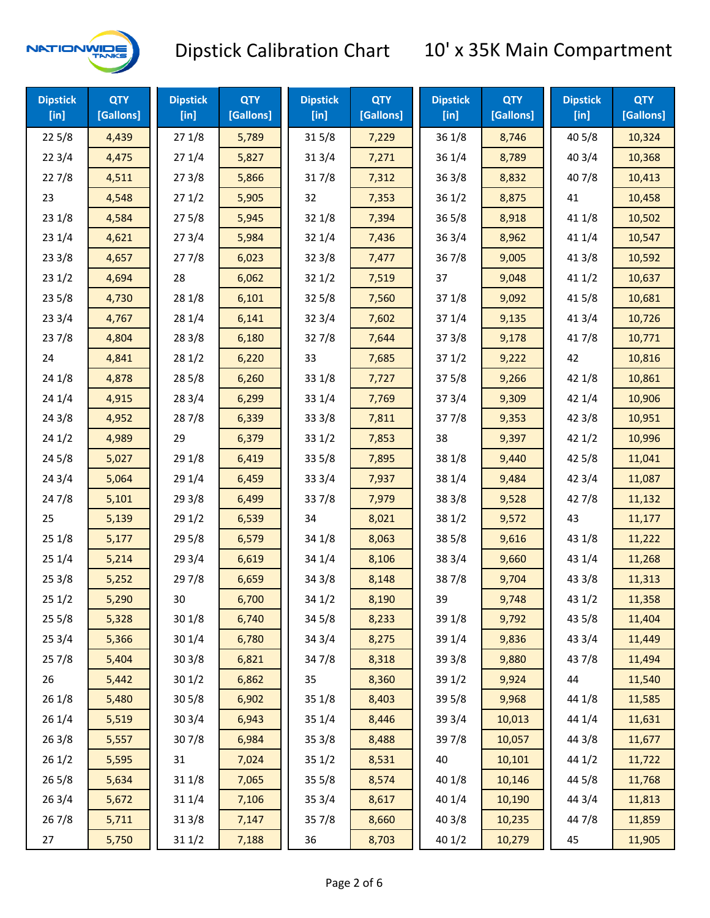

| <b>Dipstick</b><br>$[$ in] | <b>QTY</b><br>[Gallons] | <b>Dipstick</b><br>$[$ in] | <b>QTY</b><br>[Gallons] | <b>Dipstick</b><br>$[$ in] | <b>QTY</b><br>[Gallons] | <b>Dipstick</b><br>$[$ in] | <b>QTY</b><br>[Gallons] | <b>Dipstick</b><br>$[$ in] | <b>QTY</b><br>[Gallons] |
|----------------------------|-------------------------|----------------------------|-------------------------|----------------------------|-------------------------|----------------------------|-------------------------|----------------------------|-------------------------|
| 225/8                      | 4,439                   | 271/8                      | 5,789                   | 315/8                      | 7,229                   | 36 1/8                     | 8,746                   | 40 5/8                     | 10,324                  |
| 223/4                      | 4,475                   | 271/4                      | 5,827                   | 313/4                      | 7,271                   | 36 1/4                     | 8,789                   | 40 3/4                     | 10,368                  |
| 227/8                      | 4,511                   | 273/8                      | 5,866                   | 317/8                      | 7,312                   | 363/8                      | 8,832                   | 407/8                      | 10,413                  |
| 23                         | 4,548                   | 271/2                      | 5,905                   | 32                         | 7,353                   | 361/2                      | 8,875                   | 41                         | 10,458                  |
| 231/8                      | 4,584                   | 275/8                      | 5,945                   | 32 1/8                     | 7,394                   | $36\,5/8$                  | 8,918                   | 41 1/8                     | 10,502                  |
| 231/4                      | 4,621                   | 273/4                      | 5,984                   | 32 1/4                     | 7,436                   | 363/4                      | 8,962                   | 41 1/4                     | 10,547                  |
| 233/8                      | 4,657                   | 277/8                      | 6,023                   | 32 3/8                     | 7,477                   | 36 7/8                     | 9,005                   | 41 3/8                     | 10,592                  |
| 231/2                      | 4,694                   | 28                         | 6,062                   | 321/2                      | 7,519                   | 37                         | 9,048                   | 411/2                      | 10,637                  |
| 235/8                      | 4,730                   | 28 1/8                     | 6,101                   | 32 5/8                     | 7,560                   | 37 1/8                     | 9,092                   | 41 5/8                     | 10,681                  |
| 233/4                      | 4,767                   | 28 1/4                     | 6,141                   | 32 3/4                     | 7,602                   | 37 1/4                     | 9,135                   | 41 3/4                     | 10,726                  |
| 237/8                      | 4,804                   | 283/8                      | 6,180                   | 327/8                      | 7,644                   | 373/8                      | 9,178                   | 417/8                      | 10,771                  |
| 24                         | 4,841                   | 281/2                      | 6,220                   | 33                         | 7,685                   | 371/2                      | 9,222                   | 42                         | 10,816                  |
| 24 1/8                     | 4,878                   | 28 5/8                     | 6,260                   | 33 1/8                     | 7,727                   | 375/8                      | 9,266                   | 42 1/8                     | 10,861                  |
| 241/4                      | 4,915                   | 28 3/4                     | 6,299                   | 33 1/4                     | 7,769                   | 373/4                      | 9,309                   | 42 1/4                     | 10,906                  |
| 243/8                      | 4,952                   | 287/8                      | 6,339                   | 33 3/8                     | 7,811                   | 377/8                      | 9,353                   | 42 3/8                     | 10,951                  |
| 241/2                      | 4,989                   | 29                         | 6,379                   | 33 1/2                     | 7,853                   | 38                         | 9,397                   | 421/2                      | 10,996                  |
| 245/8                      | 5,027                   | 29 1/8                     | 6,419                   | 33 5/8                     | 7,895                   | 38 1/8                     | 9,440                   | 42 5/8                     | 11,041                  |
| 243/4                      | 5,064                   | 29 1/4                     | 6,459                   | 33 3/4                     | 7,937                   | 38 1/4                     | 9,484                   | 42 3/4                     | 11,087                  |
| 24 7/8                     | 5,101                   | 293/8                      | 6,499                   | 337/8                      | 7,979                   | 38 3/8                     | 9,528                   | 42 7/8                     | 11,132                  |
| 25                         | 5,139                   | 291/2                      | 6,539                   | 34                         | 8,021                   | 38 1/2                     | 9,572                   | 43                         | 11,177                  |
| 251/8                      | 5,177                   | 29 5/8                     | 6,579                   | 34 1/8                     | 8,063                   | 38 5/8                     | 9,616                   | 43 1/8                     | 11,222                  |
| 251/4                      | 5,214                   | 29 3/4                     | 6,619                   | 34 1/4                     | 8,106                   | 38 3/4                     | 9,660                   | 43 1/4                     | 11,268                  |
| 253/8                      | 5,252                   | 297/8                      | 6,659                   | 34 3/8                     | 8,148                   | 387/8                      | 9,704                   | 43 3/8                     | 11,313                  |
| 251/2                      | 5,290                   | 30                         | 6,700                   | 34 1/2                     | 8,190                   | 39                         | 9,748                   | 43 1/2                     | 11,358                  |
| 255/8                      | 5,328                   | 30 1/8                     | 6,740                   | 345/8                      | 8,233                   | 39 1/8                     | 9,792                   | 43 5/8                     | 11,404                  |
| 253/4                      | 5,366                   | 30 1/4                     | 6,780                   | 34 3/4                     | 8,275                   | 39 1/4                     | 9,836                   | 43 3/4                     | 11,449                  |
| 257/8                      | 5,404                   | 303/8                      | 6,821                   | 347/8                      | 8,318                   | 39 3/8                     | 9,880                   | 437/8                      | 11,494                  |
| 26                         | 5,442                   | 301/2                      | 6,862                   | 35                         | 8,360                   | 39 1/2                     | 9,924                   | 44                         | 11,540                  |
| 261/8                      | 5,480                   | 305/8                      | 6,902                   | 35 1/8                     | 8,403                   | 39 5/8                     | 9,968                   | 44 1/8                     | 11,585                  |
| 261/4                      | 5,519                   | 30 3/4                     | 6,943                   | 35 1/4                     | 8,446                   | 39 3/4                     | 10,013                  | 44 1/4                     | 11,631                  |
| 263/8                      | 5,557                   | 307/8                      | 6,984                   | 35 3/8                     | 8,488                   | 397/8                      | 10,057                  | 44 3/8                     | 11,677                  |
| 261/2                      | 5,595                   | 31                         | 7,024                   | 35 1/2                     | 8,531                   | 40                         | 10,101                  | 44 1/2                     | 11,722                  |
| 265/8                      | 5,634                   | 31 1/8                     | 7,065                   | 35 5/8                     | 8,574                   | 40 1/8                     | 10,146                  | 44 5/8                     | 11,768                  |
| 263/4                      | 5,672                   | 31 1/4                     | 7,106                   | 35 3/4                     | 8,617                   | 40 1/4                     | 10,190                  | 44 3/4                     | 11,813                  |
| 267/8                      | 5,711                   | 313/8                      | 7,147                   | 357/8                      | 8,660                   | 40 3/8                     | 10,235                  | 447/8                      | 11,859                  |
| 27                         | 5,750                   | 311/2                      | 7,188                   | 36                         | 8,703                   | 40 1/2                     | 10,279                  | 45                         | 11,905                  |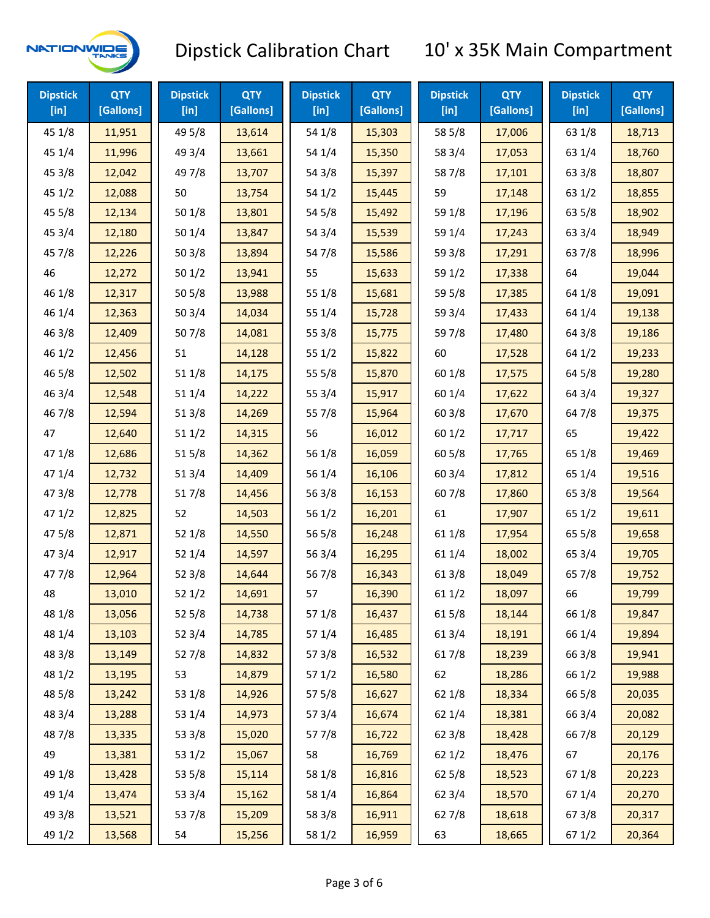

| <b>Dipstick</b><br>$[$ in] | <b>QTY</b><br>[Gallons] | <b>Dipstick</b><br>$[$ in] | <b>QTY</b><br>[Gallons] | <b>Dipstick</b><br>$[$ in] | <b>QTY</b><br>[Gallons] | <b>Dipstick</b><br>$[$ in] | <b>QTY</b><br>[Gallons] | <b>Dipstick</b><br>$[$ in] | <b>QTY</b><br>[Gallons] |
|----------------------------|-------------------------|----------------------------|-------------------------|----------------------------|-------------------------|----------------------------|-------------------------|----------------------------|-------------------------|
| 45 1/8                     | 11,951                  | 49 5/8                     | 13,614                  | 54 1/8                     | 15,303                  | 58 5/8                     | 17,006                  | 63 1/8                     | 18,713                  |
| 45 1/4                     | 11,996                  | 49 3/4                     | 13,661                  | 54 1/4                     | 15,350                  | 58 3/4                     | 17,053                  | 63 1/4                     | 18,760                  |
| 45 3/8                     | 12,042                  | 49 7/8                     | 13,707                  | 54 3/8                     | 15,397                  | 587/8                      | 17,101                  | 63 3/8                     | 18,807                  |
| 451/2                      | 12,088                  | 50                         | 13,754                  | 54 1/2                     | 15,445                  | 59                         | 17,148                  | 63 1/2                     | 18,855                  |
| 45 5/8                     | 12,134                  | 50 1/8                     | 13,801                  | 54 5/8                     | 15,492                  | 59 1/8                     | 17,196                  | 63 5/8                     | 18,902                  |
| 45 3/4                     | 12,180                  | 501/4                      | 13,847                  | 54 3/4                     | 15,539                  | 59 1/4                     | 17,243                  | 63 3/4                     | 18,949                  |
| 45 7/8                     | 12,226                  | 503/8                      | 13,894                  | 54 7/8                     | 15,586                  | 59 3/8                     | 17,291                  | 637/8                      | 18,996                  |
| 46                         | 12,272                  | 501/2                      | 13,941                  | 55                         | 15,633                  | 59 1/2                     | 17,338                  | 64                         | 19,044                  |
| 46 1/8                     | 12,317                  | 505/8                      | 13,988                  | 55 1/8                     | 15,681                  | 59 5/8                     | 17,385                  | 64 1/8                     | 19,091                  |
| 46 1/4                     | 12,363                  | 503/4                      | 14,034                  | 55 1/4                     | 15,728                  | 59 3/4                     | 17,433                  | 64 1/4                     | 19,138                  |
| 463/8                      | 12,409                  | 507/8                      | 14,081                  | 55 3/8                     | 15,775                  | 597/8                      | 17,480                  | 64 3/8                     | 19,186                  |
| 46 1/2                     | 12,456                  | 51                         | 14,128                  | 55 1/2                     | 15,822                  | 60                         | 17,528                  | 64 1/2                     | 19,233                  |
| 46 5/8                     | 12,502                  | 51 1/8                     | 14,175                  | 55 5/8                     | 15,870                  | 60 1/8                     | 17,575                  | 64 5/8                     | 19,280                  |
| 46 3/4                     | 12,548                  | 51 1/4                     | 14,222                  | 55 3/4                     | 15,917                  | 60 1/4                     | 17,622                  | 64 3/4                     | 19,327                  |
| 46 7/8                     | 12,594                  | 513/8                      | 14,269                  | 55 7/8                     | 15,964                  | 603/8                      | 17,670                  | 647/8                      | 19,375                  |
| 47                         | 12,640                  | 511/2                      | 14,315                  | 56                         | 16,012                  | 601/2                      | 17,717                  | 65                         | 19,422                  |
| 47 1/8                     | 12,686                  | 515/8                      | 14,362                  | 56 1/8                     | 16,059                  | 60 5/8                     | 17,765                  | 65 1/8                     | 19,469                  |
| 47 1/4                     | 12,732                  | 51 3/4                     | 14,409                  | 56 1/4                     | 16,106                  | 60 3/4                     | 17,812                  | 65 1/4                     | 19,516                  |
| 47 3/8                     | 12,778                  | 517/8                      | 14,456                  | 563/8                      | 16,153                  | 607/8                      | 17,860                  | 65 3/8                     | 19,564                  |
| 47 1/2                     | 12,825                  | 52                         | 14,503                  | 56 1/2                     | 16,201                  | 61                         | 17,907                  | 65 1/2                     | 19,611                  |
| 475/8                      | 12,871                  | 52 1/8                     | 14,550                  | 56 5/8                     | 16,248                  | 61 1/8                     | 17,954                  | 65 5/8                     | 19,658                  |
| 47 3/4                     | 12,917                  | 52 1/4                     | 14,597                  | 56 3/4                     | 16,295                  | 61 1/4                     | 18,002                  | 65 3/4                     | 19,705                  |
| 47 7/8                     | 12,964                  | 52 3/8                     | 14,644                  | 567/8                      | 16,343                  | 61 3/8                     | 18,049                  | 65 7/8                     | 19,752                  |
| 48                         | 13,010                  | 521/2                      | 14,691                  | 57                         | 16,390                  | 611/2                      | 18,097                  | 66                         | 19,799                  |
| 48 1/8                     | 13,056                  | 52 5/8                     | 14,738                  | 57 1/8                     | 16,437                  | 615/8                      | 18,144                  | 66 1/8                     | 19,847                  |
| 48 1/4                     | 13,103                  | 52 3/4                     | 14,785                  | 57 1/4                     | 16,485                  | 613/4                      | 18,191                  | 66 1/4                     | 19,894                  |
| 48 3/8                     | 13,149                  | 527/8                      | 14,832                  | 57 3/8                     | 16,532                  | 617/8                      | 18,239                  | 66 3/8                     | 19,941                  |
| 48 1/2                     | 13,195                  | 53                         | 14,879                  | 57 1/2                     | 16,580                  | 62                         | 18,286                  | 66 1/2                     | 19,988                  |
| 48 5/8                     | 13,242                  | 53 1/8                     | 14,926                  | 57 5/8                     | 16,627                  | 62 1/8                     | 18,334                  | 66 5/8                     | 20,035                  |
| 48 3/4                     | 13,288                  | 53 1/4                     | 14,973                  | 573/4                      | 16,674                  | 62 1/4                     | 18,381                  | 66 3/4                     | 20,082                  |
| 487/8                      | 13,335                  | 53 3/8                     | 15,020                  | 577/8                      | 16,722                  | 62 3/8                     | 18,428                  | 667/8                      | 20,129                  |
| 49                         | 13,381                  | 53 1/2                     | 15,067                  | 58                         | 16,769                  | 621/2                      | 18,476                  | 67                         | 20,176                  |
| 49 1/8                     | 13,428                  | 53 5/8                     | 15,114                  | 58 1/8                     | 16,816                  | 62 5/8                     | 18,523                  | 671/8                      | 20,223                  |
| 49 1/4                     | 13,474                  | 53 3/4                     | 15,162                  | 58 1/4                     | 16,864                  | 62 3/4                     | 18,570                  | 671/4                      | 20,270                  |
| 49 3/8                     | 13,521                  | 537/8                      | 15,209                  | 58 3/8                     | 16,911                  | 627/8                      | 18,618                  | 673/8                      | 20,317                  |
| 49 1/2                     | 13,568                  | 54                         | 15,256                  | 58 1/2                     | 16,959                  | 63                         | 18,665                  | 67 1/2                     | 20,364                  |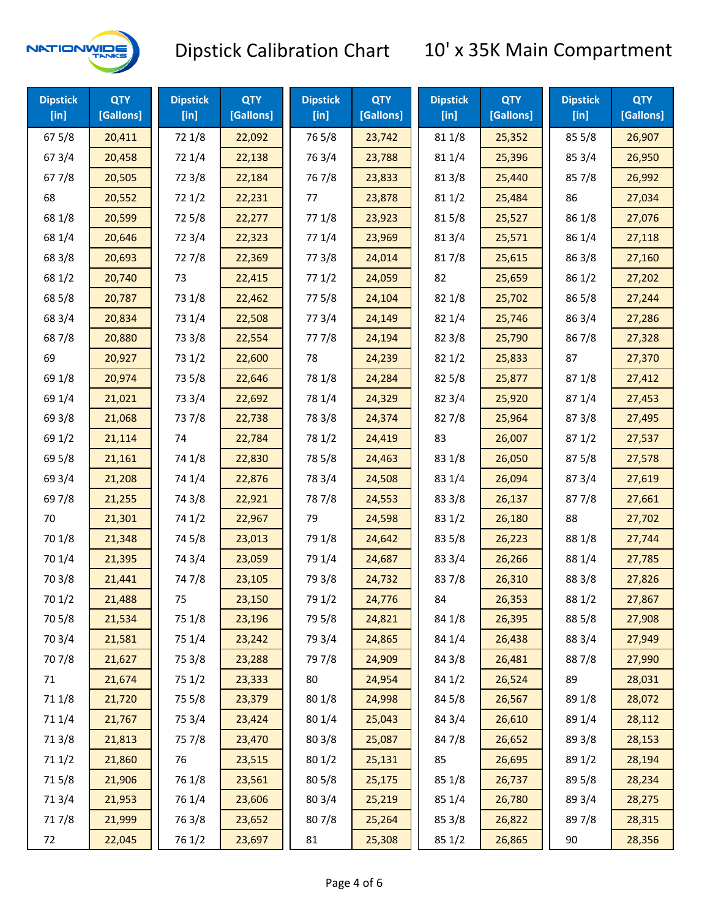

| <b>Dipstick</b><br>$[$ in] | <b>QTY</b><br>[Gallons] | <b>Dipstick</b><br>$[$ in] | <b>QTY</b><br>[Gallons] | <b>Dipstick</b><br>$[$ in] | <b>QTY</b><br>[Gallons] | <b>Dipstick</b><br>$[$ in] | <b>QTY</b><br>[Gallons] | <b>Dipstick</b><br>$[$ in] | <b>QTY</b><br>[Gallons] |
|----------------------------|-------------------------|----------------------------|-------------------------|----------------------------|-------------------------|----------------------------|-------------------------|----------------------------|-------------------------|
| 67 5/8                     | 20,411                  | 72 1/8                     | 22,092                  | 765/8                      | 23,742                  | 81 1/8                     | 25,352                  | 855/8                      | 26,907                  |
| 67 3/4                     | 20,458                  | 72 1/4                     | 22,138                  | 763/4                      | 23,788                  | 81 1/4                     | 25,396                  | 85 3/4                     | 26,950                  |
| 677/8                      | 20,505                  | 72 3/8                     | 22,184                  | 767/8                      | 23,833                  | 81 3/8                     | 25,440                  | 857/8                      | 26,992                  |
| 68                         | 20,552                  | 72 1/2                     | 22,231                  | 77                         | 23,878                  | 811/2                      | 25,484                  | 86                         | 27,034                  |
| 68 1/8                     | 20,599                  | 725/8                      | 22,277                  | 77 1/8                     | 23,923                  | 815/8                      | 25,527                  | 86 1/8                     | 27,076                  |
| 68 1/4                     | 20,646                  | 72 3/4                     | 22,323                  | 77 1/4                     | 23,969                  | 813/4                      | 25,571                  | 86 1/4                     | 27,118                  |
| 68 3/8                     | 20,693                  | 727/8                      | 22,369                  | 77 3/8                     | 24,014                  | 817/8                      | 25,615                  | 86 3/8                     | 27,160                  |
| 68 1/2                     | 20,740                  | 73                         | 22,415                  | 771/2                      | 24,059                  | 82                         | 25,659                  | 86 1/2                     | 27,202                  |
| 68 5/8                     | 20,787                  | 73 1/8                     | 22,462                  | 775/8                      | 24,104                  | 82 1/8                     | 25,702                  | 86 5/8                     | 27,244                  |
| 68 3/4                     | 20,834                  | 73 1/4                     | 22,508                  | 773/4                      | 24,149                  | 82 1/4                     | 25,746                  | 86 3/4                     | 27,286                  |
| 687/8                      | 20,880                  | 73 3/8                     | 22,554                  | 777/8                      | 24,194                  | 82 3/8                     | 25,790                  | 867/8                      | 27,328                  |
| 69                         | 20,927                  | 73 1/2                     | 22,600                  | 78                         | 24,239                  | 821/2                      | 25,833                  | 87                         | 27,370                  |
| 69 1/8                     | 20,974                  | 73 5/8                     | 22,646                  | 78 1/8                     | 24,284                  | 825/8                      | 25,877                  | 871/8                      | 27,412                  |
| 69 1/4                     | 21,021                  | 73 3/4                     | 22,692                  | 78 1/4                     | 24,329                  | 82 3/4                     | 25,920                  | 87 1/4                     | 27,453                  |
| 69 3/8                     | 21,068                  | 737/8                      | 22,738                  | 78 3/8                     | 24,374                  | 827/8                      | 25,964                  | 87 3/8                     | 27,495                  |
| 69 1/2                     | 21,114                  | 74                         | 22,784                  | 78 1/2                     | 24,419                  | 83                         | 26,007                  | 871/2                      | 27,537                  |
| 69 5/8                     | 21,161                  | 74 1/8                     | 22,830                  | 78 5/8                     | 24,463                  | 83 1/8                     | 26,050                  | 875/8                      | 27,578                  |
| 69 3/4                     | 21,208                  | 74 1/4                     | 22,876                  | 78 3/4                     | 24,508                  | 83 1/4                     | 26,094                  | 87 3/4                     | 27,619                  |
| 697/8                      | 21,255                  | 74 3/8                     | 22,921                  | 787/8                      | 24,553                  | 83 3/8                     | 26,137                  | 877/8                      | 27,661                  |
| 70                         | 21,301                  | 74 1/2                     | 22,967                  | 79                         | 24,598                  | 83 1/2                     | 26,180                  | 88                         | 27,702                  |
| 70 1/8                     | 21,348                  | 74 5/8                     | 23,013                  | 79 1/8                     | 24,642                  | 83 5/8                     | 26,223                  | 88 1/8                     | 27,744                  |
| 70 1/4                     | 21,395                  | 74 3/4                     | 23,059                  | 79 1/4                     | 24,687                  | 83 3/4                     | 26,266                  | 88 1/4                     | 27,785                  |
| 70 3/8                     | 21,441                  | 747/8                      | 23,105                  | 79 3/8                     | 24,732                  | 837/8                      | 26,310                  | 88 3/8                     | 27,826                  |
| 70 1/2                     | 21,488                  | 75                         | 23,150                  | 79 1/2                     | 24,776                  | 84                         | 26,353                  | 88 1/2                     | 27,867                  |
| 70 5/8                     | 21,534                  | 75 1/8                     | 23,196                  | 79 5/8                     | 24,821                  | 84 1/8                     | 26,395                  | 88 5/8                     | 27,908                  |
| 70 3/4                     | 21,581                  | 75 1/4                     | 23,242                  | 79 3/4                     | 24,865                  | 84 1/4                     | 26,438                  | 88 3/4                     | 27,949                  |
| 70 7/8                     | 21,627                  | 75 3/8                     | 23,288                  | 79 7/8                     | 24,909                  | 84 3/8                     | 26,481                  | 887/8                      | 27,990                  |
| 71                         | 21,674                  | 75 1/2                     | 23,333                  | 80                         | 24,954                  | 84 1/2                     | 26,524                  | 89                         | 28,031                  |
| 71 1/8                     | 21,720                  | 75 5/8                     | 23,379                  | 80 1/8                     | 24,998                  | 845/8                      | 26,567                  | 89 1/8                     | 28,072                  |
| 71 1/4                     | 21,767                  | 75 3/4                     | 23,424                  | 80 1/4                     | 25,043                  | 84 3/4                     | 26,610                  | 89 1/4                     | 28,112                  |
| 713/8                      | 21,813                  | 75 7/8                     | 23,470                  | 803/8                      | 25,087                  | 84 7/8                     | 26,652                  | 89 3/8                     | 28,153                  |
| 71 1/2                     | 21,860                  | 76                         | 23,515                  | 80 1/2                     | 25,131                  | 85                         | 26,695                  | 89 1/2                     | 28,194                  |
| 715/8                      | 21,906                  | 76 1/8                     | 23,561                  | 80 5/8                     | 25,175                  | 85 1/8                     | 26,737                  | 89 5/8                     | 28,234                  |
| 713/4                      | 21,953                  | 76 1/4                     | 23,606                  | 80 3/4                     | 25,219                  | 85 1/4                     | 26,780                  | 89 3/4                     | 28,275                  |
| 717/8                      | 21,999                  | 763/8                      | 23,652                  | 807/8                      | 25,264                  | 85 3/8                     | 26,822                  | 897/8                      | 28,315                  |
| 72                         | 22,045                  | 76 1/2                     | 23,697                  | 81                         | 25,308                  | 85 1/2                     | 26,865                  | 90                         | 28,356                  |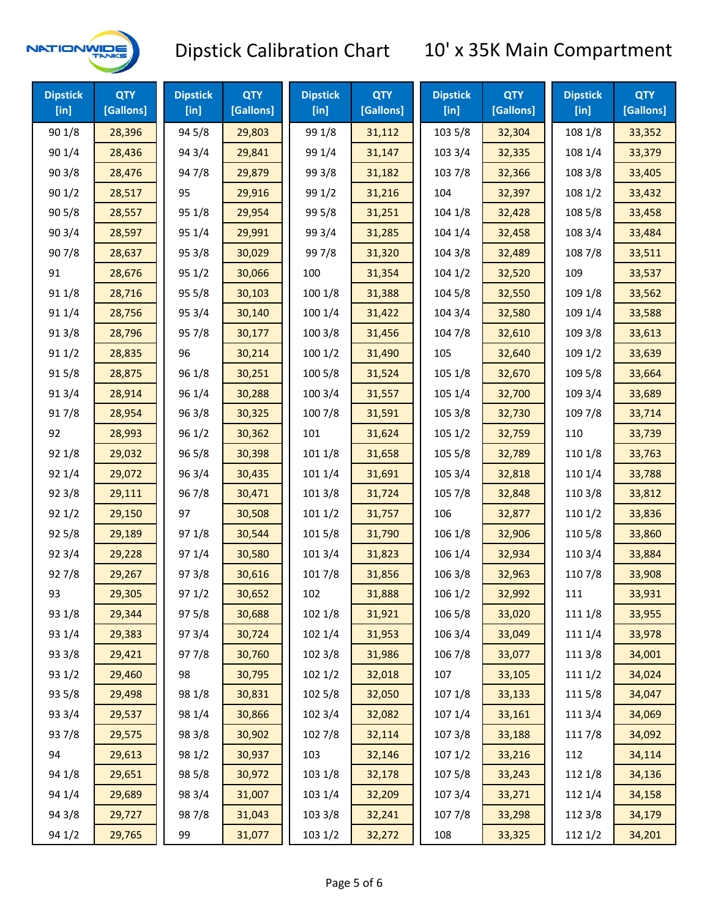

| <b>Dipstick</b><br>[in] | <b>QTY</b><br>[Gallons] | <b>Dipstick</b><br>[in] | <b>QTY</b><br>[Gallons] | <b>Dipstick</b><br>$[$ in] | <b>QTY</b><br>[Gallons] | <b>Dipstick</b><br>$[$ in] | <b>QTY</b><br>[Gallons] | <b>Dipstick</b><br>$[$ in] | <b>QTY</b><br>[Gallons] |
|-------------------------|-------------------------|-------------------------|-------------------------|----------------------------|-------------------------|----------------------------|-------------------------|----------------------------|-------------------------|
| 90 1/8                  | 28,396                  | 94 5/8                  | 29,803                  | 99 1/8                     | 31,112                  | 103 5/8                    | 32,304                  | 108 1/8                    | 33,352                  |
| 90 1/4                  | 28,436                  | 94 3/4                  | 29,841                  | 99 1/4                     | 31,147                  | 103 3/4                    | 32,335                  | 108 1/4                    | 33,379                  |
| 903/8                   | 28,476                  | 947/8                   | 29,879                  | 99 3/8                     | 31,182                  | 103 7/8                    | 32,366                  | 108 3/8                    | 33,405                  |
| 901/2                   | 28,517                  | 95                      | 29,916                  | 99 1/2                     | 31,216                  | 104                        | 32,397                  | 108 1/2                    | 33,432                  |
| 905/8                   | 28,557                  | 95 1/8                  | 29,954                  | 99 5/8                     | 31,251                  | 104 1/8                    | 32,428                  | 108 5/8                    | 33,458                  |
| 90 3/4                  | 28,597                  | 95 1/4                  | 29,991                  | 99 3/4                     | 31,285                  | 104 1/4                    | 32,458                  | 108 3/4                    | 33,484                  |
| 907/8                   | 28,637                  | 95 3/8                  | 30,029                  | 997/8                      | 31,320                  | 104 3/8                    | 32,489                  | 108 7/8                    | 33,511                  |
| 91                      | 28,676                  | 95 1/2                  | 30,066                  | 100                        | 31,354                  | 1041/2                     | 32,520                  | 109                        | 33,537                  |
| 91 1/8                  | 28,716                  | 95 5/8                  | 30,103                  | 100 1/8                    | 31,388                  | 104 5/8                    | 32,550                  | 109 1/8                    | 33,562                  |
| 91 1/4                  | 28,756                  | 95 3/4                  | 30,140                  | 100 1/4                    | 31,422                  | 104 3/4                    | 32,580                  | 109 1/4                    | 33,588                  |
| 913/8                   | 28,796                  | 95 7/8                  | 30,177                  | 100 3/8                    | 31,456                  | 104 7/8                    | 32,610                  | 109 3/8                    | 33,613                  |
| 91 1/2                  | 28,835                  | 96                      | 30,214                  | 1001/2                     | 31,490                  | 105                        | 32,640                  | 109 1/2                    | 33,639                  |
| 915/8                   | 28,875                  | 96 1/8                  | 30,251                  | 100 5/8                    | 31,524                  | 105 1/8                    | 32,670                  | 109 5/8                    | 33,664                  |
| 913/4                   | 28,914                  | 96 1/4                  | 30,288                  | 100 3/4                    | 31,557                  | 105 1/4                    | 32,700                  | 109 3/4                    | 33,689                  |
| 917/8                   | 28,954                  | 96 3/8                  | 30,325                  | 100 7/8                    | 31,591                  | 105 3/8                    | 32,730                  | 109 7/8                    | 33,714                  |
| 92                      | 28,993                  | 96 1/2                  | 30,362                  | 101                        | 31,624                  | 105 1/2                    | 32,759                  | 110                        | 33,739                  |
| 92 1/8                  | 29,032                  | 96 5/8                  | 30,398                  | 101 1/8                    | 31,658                  | 105 5/8                    | 32,789                  | 110 1/8                    | 33,763                  |
| 92 1/4                  | 29,072                  | 96 3/4                  | 30,435                  | 101 1/4                    | 31,691                  | 105 3/4                    | 32,818                  | 110 1/4                    | 33,788                  |
| 92 3/8                  | 29,111                  | 967/8                   | 30,471                  | 101 3/8                    | 31,724                  | 105 7/8                    | 32,848                  | 110 3/8                    | 33,812                  |
| 921/2                   | 29,150                  | 97                      | 30,508                  | 1011/2                     | 31,757                  | 106                        | 32,877                  | 110 1/2                    | 33,836                  |
| 925/8                   | 29,189                  | 97 1/8                  | 30,544                  | 101 5/8                    | 31,790                  | 106 1/8                    | 32,906                  | 110 5/8                    | 33,860                  |
| 92 3/4                  | 29,228                  | 97 1/4                  | 30,580                  | 101 3/4                    | 31,823                  | 106 1/4                    | 32,934                  | 110 3/4                    | 33,884                  |
| 927/8                   | 29,267                  | 973/8                   | 30,616                  | 101 7/8                    | 31,856                  | 106 3/8                    | 32,963                  | 110 7/8                    | 33,908                  |
| 93                      | 29,305                  | 97 1/2                  | 30,652                  | 102                        | 31,888                  | 106 1/2                    | 32,992                  | 111                        | 33,931                  |
| 93 1/8                  | 29,344                  | 97 5/8                  | 30,688                  | 102 1/8                    | 31,921                  | 106 5/8                    | 33,020                  | 111 1/8                    | 33,955                  |
| 93 1/4                  | 29,383                  | 973/4                   | 30,724                  | 102 1/4                    | 31,953                  | 106 3/4                    | 33,049                  | 111 1/4                    | 33,978                  |
| 93 3/8                  | 29,421                  | 977/8                   | 30,760                  | 102 3/8                    | 31,986                  | 106 7/8                    | 33,077                  | 111 3/8                    | 34,001                  |
| 93 1/2                  | 29,460                  | 98                      | 30,795                  | 102 1/2                    | 32,018                  | 107                        | 33,105                  | 111 1/2                    | 34,024                  |
| 93 5/8                  | 29,498                  | 98 1/8                  | 30,831                  | 102 5/8                    | 32,050                  | 107 1/8                    | 33,133                  | 111 5/8                    | 34,047                  |
| 93 3/4                  | 29,537                  | 98 1/4                  | 30,866                  | 102 3/4                    | 32,082                  | 107 1/4                    | 33,161                  | 111 3/4                    | 34,069                  |
| 937/8                   | 29,575                  | 98 3/8                  | 30,902                  | 102 7/8                    | 32,114                  | 1073/8                     | 33,188                  | 111 7/8                    | 34,092                  |
| 94                      | 29,613                  | 98 1/2                  | 30,937                  | 103                        | 32,146                  | 107 1/2                    | 33,216                  | 112                        | 34,114                  |
| 94 1/8                  | 29,651                  | 98 5/8                  | 30,972                  | 103 1/8                    | 32,178                  | 1075/8                     | 33,243                  | 112 1/8                    | 34,136                  |
| 94 1/4                  | 29,689                  | 98 3/4                  | 31,007                  | 103 1/4                    | 32,209                  | 107 3/4                    | 33,271                  | 112 1/4                    | 34,158                  |
| 94 3/8                  | 29,727                  | 987/8                   | 31,043                  | 103 3/8                    | 32,241                  | 1077/8                     | 33,298                  | 112 3/8                    | 34,179                  |
| 94 1/2                  | 29,765                  | 99                      | 31,077                  | 103 1/2                    | 32,272                  | 108                        | 33,325                  | 112 1/2                    | 34,201                  |